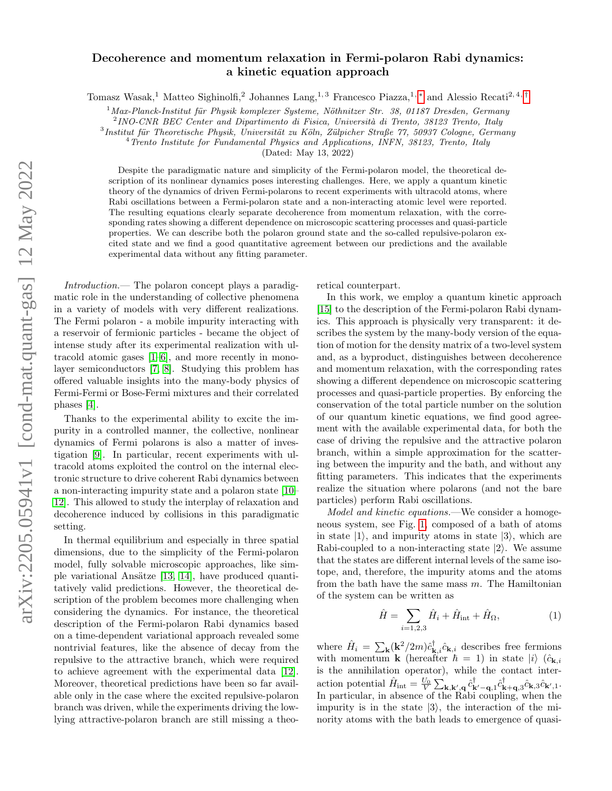## Decoherence and momentum relaxation in Fermi-polaron Rabi dynamics: a kinetic equation approach

Tomasz Wasak,<sup>1</sup> Matteo Sighinolfi,<sup>2</sup> Johannes Lang,<sup>1,3</sup> Francesco Piazza,<sup>1,[∗](#page-4-0)</sup> and Alessio Recati<sup>2,4,[†](#page-4-1)</sup>

 $1$ Max-Planck-Institut für Physik komplexer Systeme, Nöthnitzer Str. 38, 01187 Dresden, Germany

 $^{2}$ INO-CNR BEC Center and Dipartimento di Fisica, Università di Trento, 38123 Trento, Italy

 $3$ Institut für Theoretische Physik, Universität zu Köln, Zülpicher Straße 77, 50937 Cologne, Germany

 $4$  Trento Institute for Fundamental Physics and Applications, INFN, 38123, Trento, Italy

(Dated: May 13, 2022)

Despite the paradigmatic nature and simplicity of the Fermi-polaron model, the theoretical description of its nonlinear dynamics poses interesting challenges. Here, we apply a quantum kinetic theory of the dynamics of driven Fermi-polarons to recent experiments with ultracold atoms, where Rabi oscillations between a Fermi-polaron state and a non-interacting atomic level were reported. The resulting equations clearly separate decoherence from momentum relaxation, with the corresponding rates showing a different dependence on microscopic scattering processes and quasi-particle properties. We can describe both the polaron ground state and the so-called repulsive-polaron excited state and we find a good quantitative agreement between our predictions and the available experimental data without any fitting parameter.

Introduction.— The polaron concept plays a paradigmatic role in the understanding of collective phenomena in a variety of models with very different realizations. The Fermi polaron - a mobile impurity interacting with a reservoir of fermionic particles - became the object of intense study after its experimental realization with ultracold atomic gases [\[1–](#page-4-2)[6\]](#page-4-3), and more recently in monolayer semiconductors [\[7,](#page-4-4) [8\]](#page-4-5). Studying this problem has offered valuable insights into the many-body physics of Fermi-Fermi or Bose-Fermi mixtures and their correlated phases [\[4\]](#page-4-6).

Thanks to the experimental ability to excite the impurity in a controlled manner, the collective, nonlinear dynamics of Fermi polarons is also a matter of investigation [\[9\]](#page-4-7). In particular, recent experiments with ultracold atoms exploited the control on the internal electronic structure to drive coherent Rabi dynamics between a non-interacting impurity state and a polaron state [\[10–](#page-4-8) [12\]](#page-4-9). This allowed to study the interplay of relaxation and decoherence induced by collisions in this paradigmatic setting.

In thermal equilibrium and especially in three spatial dimensions, due to the simplicity of the Fermi-polaron model, fully solvable microscopic approaches, like simple variational Ansätze  $[13, 14]$  $[13, 14]$ , have produced quantitatively valid predictions. However, the theoretical description of the problem becomes more challenging when considering the dynamics. For instance, the theoretical description of the Fermi-polaron Rabi dynamics based on a time-dependent variational approach revealed some nontrivial features, like the absence of decay from the repulsive to the attractive branch, which were required to achieve agreement with the experimental data [\[12\]](#page-4-9). Moreover, theoretical predictions have been so far available only in the case where the excited repulsive-polaron branch was driven, while the experiments driving the lowlying attractive-polaron branch are still missing a theoretical counterpart.

In this work, we employ a quantum kinetic approach [\[15\]](#page-4-12) to the description of the Fermi-polaron Rabi dynamics. This approach is physically very transparent: it describes the system by the many-body version of the equation of motion for the density matrix of a two-level system and, as a byproduct, distinguishes between decoherence and momentum relaxation, with the corresponding rates showing a different dependence on microscopic scattering processes and quasi-particle properties. By enforcing the conservation of the total particle number on the solution of our quantum kinetic equations, we find good agreement with the available experimental data, for both the case of driving the repulsive and the attractive polaron branch, within a simple approximation for the scattering between the impurity and the bath, and without any fitting parameters. This indicates that the experiments realize the situation where polarons (and not the bare particles) perform Rabi oscillations.

Model and kinetic equations.—We consider a homogeneous system, see Fig. [1,](#page-1-0) composed of a bath of atoms in state  $|1\rangle$ , and impurity atoms in state  $|3\rangle$ , which are Rabi-coupled to a non-interacting state  $|2\rangle$ . We assume that the states are different internal levels of the same isotope, and, therefore, the impurity atoms and the atoms from the bath have the same mass  $m$ . The Hamiltonian of the system can be written as

<span id="page-0-0"></span>
$$
\hat{H} = \sum_{i=1,2,3} \hat{H}_i + \hat{H}_{\text{int}} + \hat{H}_{\Omega},
$$
 (1)

where  $\hat{H}_i = \sum_{\mathbf{k}} (\mathbf{k}^2/2m) \hat{c}_{\mathbf{k},i}^{\dagger} \hat{c}_{\mathbf{k},i}$  describes free fermions with momentum **k** (hereafter  $\hbar = 1$ ) in state  $|i\rangle$  ( $\hat{c}_{\mathbf{k},i}$ is the annihilation operator), while the contact interaction potential  $\hat{H}_{int} = \frac{U_0}{V} \sum_{\mathbf{k},\mathbf{k}',\mathbf{q}} \hat{c}_{\mathbf{k}'-\mathbf{q},1}^{\dagger} \hat{c}_{\mathbf{k}+\mathbf{q},3}^{\dagger} \hat{c}_{\mathbf{k},3} \hat{c}_{\mathbf{k}',1}$ In particular, in absence of the Rabi coupling, when the impurity is in the state  $|3\rangle$ , the interaction of the minority atoms with the bath leads to emergence of quasi-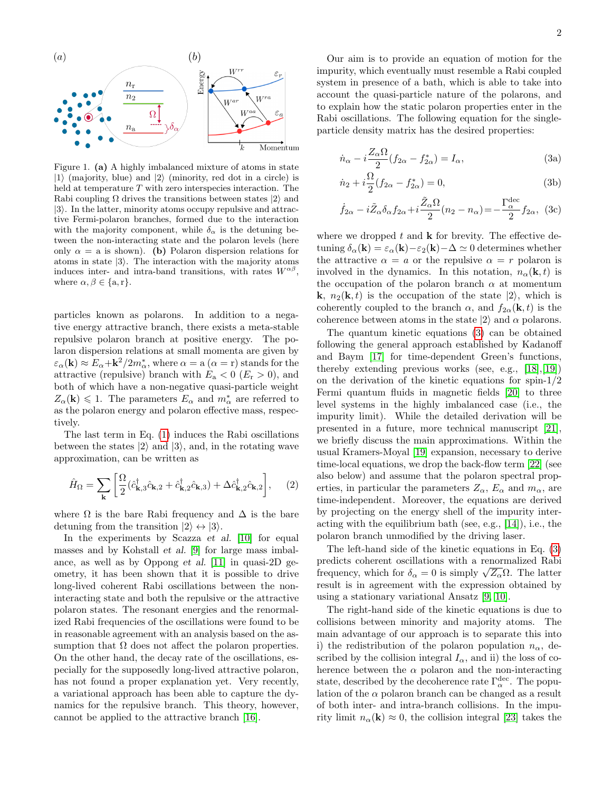

<span id="page-1-0"></span>Figure 1. (a) A highly imbalanced mixture of atoms in state  $|1\rangle$  (majority, blue) and  $|2\rangle$  (minority, red dot in a circle) is held at temperature T with zero interspecies interaction. The Rabi coupling  $\Omega$  drives the transitions between states  $|2\rangle$  and  $|3\rangle$ . In the latter, minority atoms occupy repulsive and attractive Fermi-polaron branches, formed due to the interaction with the majority component, while  $\delta_{\alpha}$  is the detuning between the non-interacting state and the polaron levels (here only  $\alpha = a$  is shown). (b) Polaron dispersion relations for atoms in state  $|3\rangle$ . The interaction with the majority atoms induces inter- and intra-band transitions, with rates  $W^{\alpha\beta}$ , where  $\alpha, \beta \in \{a, r\}.$ 

particles known as polarons. In addition to a negative energy attractive branch, there exists a meta-stable repulsive polaron branch at positive energy. The polaron dispersion relations at small momenta are given by  $\varepsilon_{\alpha}(\mathbf{k}) \approx E_{\alpha} + \mathbf{k}^2/2m_{\alpha}^*$ , where  $\alpha = \mathbf{a}$   $(\alpha = \mathbf{r})$  stands for the attractive (repulsive) branch with  $E_a < 0$  ( $E_r > 0$ ), and both of which have a non-negative quasi-particle weight  $Z_{\alpha}(\mathbf{k}) \leq 1$ . The parameters  $E_{\alpha}$  and  $m_{\alpha}^{*}$  are referred to as the polaron energy and polaron effective mass, respectively.

The last term in Eq. [\(1\)](#page-0-0) induces the Rabi oscillations between the states  $|2\rangle$  and  $|3\rangle$ , and, in the rotating wave approximation, can be written as

$$
\hat{H}_{\Omega} = \sum_{\mathbf{k}} \left[ \frac{\Omega}{2} (\hat{c}_{\mathbf{k},3}^{\dagger} \hat{c}_{\mathbf{k},2} + \hat{c}_{\mathbf{k},2}^{\dagger} \hat{c}_{\mathbf{k},3}) + \Delta \hat{c}_{\mathbf{k},2}^{\dagger} \hat{c}_{\mathbf{k},2} \right], \quad (2)
$$

where  $\Omega$  is the bare Rabi frequency and  $\Delta$  is the bare detuning from the transition  $|2\rangle \leftrightarrow |3\rangle$ .

In the experiments by Scazza *et al.* [\[10\]](#page-4-8) for equal masses and by Kohstall et al. [\[9\]](#page-4-7) for large mass imbalance, as well as by Oppong et al. [\[11\]](#page-4-13) in quasi-2D geometry, it has been shown that it is possible to drive long-lived coherent Rabi oscillations between the noninteracting state and both the repulsive or the attractive polaron states. The resonant energies and the renormalized Rabi frequencies of the oscillations were found to be in reasonable agreement with an analysis based on the assumption that  $\Omega$  does not affect the polaron properties. On the other hand, the decay rate of the oscillations, especially for the supposedly long-lived attractive polaron, has not found a proper explanation yet. Very recently, a variational approach has been able to capture the dynamics for the repulsive branch. This theory, however, cannot be applied to the attractive branch [\[16\]](#page-4-14).

Our aim is to provide an equation of motion for the impurity, which eventually must resemble a Rabi coupled system in presence of a bath, which is able to take into account the quasi-particle nature of the polarons, and to explain how the static polaron properties enter in the Rabi oscillations. The following equation for the singleparticle density matrix has the desired properties:

<span id="page-1-1"></span>
$$
\dot{n}_{\alpha} - i \frac{Z_{\alpha} \Omega}{2} (f_{2\alpha} - f_{2\alpha}^{*}) = I_{\alpha}, \qquad (3a)
$$

$$
\dot{n}_2 + i\frac{\Omega}{2}(f_{2\alpha} - f_{2\alpha}^*) = 0,\t\t(3b)
$$

$$
\dot{f}_{2\alpha} - i\tilde{Z}_{\alpha}\delta_{\alpha}f_{2\alpha} + i\frac{\tilde{Z}_{\alpha}\Omega}{2}(n_2 - n_{\alpha}) = -\frac{\Gamma_{\alpha}^{\text{dec}}}{2}f_{2\alpha}, \quad (3c)
$$

where we dropped  $t$  and  $k$  for brevity. The effective detuning  $\delta_{\alpha}(\mathbf{k}) = \varepsilon_{\alpha}(\mathbf{k}) - \varepsilon_{2}(\mathbf{k}) - \Delta \simeq 0$  determines whether the attractive  $\alpha = a$  or the repulsive  $\alpha = r$  polaron is involved in the dynamics. In this notation,  $n_{\alpha}(\mathbf{k}, t)$  is the occupation of the polaron branch  $\alpha$  at momentum **k**,  $n_2(\mathbf{k}, t)$  is the occupation of the state  $|2\rangle$ , which is coherently coupled to the branch  $\alpha$ , and  $f_{2\alpha}(\mathbf{k}, t)$  is the coherence between atoms in the state  $|2\rangle$  and  $\alpha$  polarons.

The quantum kinetic equations [\(3\)](#page-1-1) can be obtained following the general approach established by Kadanoff and Baym [\[17\]](#page-4-15) for time-dependent Green's functions, thereby extending previous works (see, e.g., [\[18\]](#page-4-16),[\[19\]](#page-4-17)) on the derivation of the kinetic equations for spin-1/2 Fermi quantum fluids in magnetic fields [\[20\]](#page-4-18) to three level systems in the highly imbalanced case (i.e., the impurity limit). While the detailed derivation will be presented in a future, more technical manuscript [\[21\]](#page-4-19), we briefly discuss the main approximations. Within the usual Kramers-Moyal [\[19\]](#page-4-17) expansion, necessary to derive time-local equations, we drop the back-flow term [\[22\]](#page-4-20) (see also below) and assume that the polaron spectral properties, in particular the parameters  $Z_{\alpha}$ ,  $E_{\alpha}$  and  $m_{\alpha}$ , are time-independent. Moreover, the equations are derived by projecting on the energy shell of the impurity interacting with the equilibrium bath (see, e.g., [\[14\]](#page-4-11)), i.e., the polaron branch unmodified by the driving laser.

The left-hand side of the kinetic equations in Eq. [\(3\)](#page-1-1) predicts coherent oscillations with a renormalized Rabi predicts conerent oscinations with a renormalized Kabi<br>frequency, which for  $\delta_{\alpha} = 0$  is simply  $\sqrt{Z_{\alpha}}\Omega$ . The latter result is in agreement with the expression obtained by using a stationary variational Ansatz [\[9,](#page-4-7) [10\]](#page-4-8).

The right-hand side of the kinetic equations is due to collisions between minority and majority atoms. The main advantage of our approach is to separate this into i) the redistribution of the polaron population  $n_{\alpha}$ , described by the collision integral  $I_{\alpha}$ , and ii) the loss of coherence between the  $\alpha$  polaron and the non-interacting state, described by the decoherence rate  $\Gamma_\alpha^{\text{dec}}$ . The population of the  $\alpha$  polaron branch can be changed as a result of both inter- and intra-branch collisions. In the impurity limit  $n_{\alpha}(\mathbf{k}) \approx 0$ , the collision integral [\[23\]](#page-4-21) takes the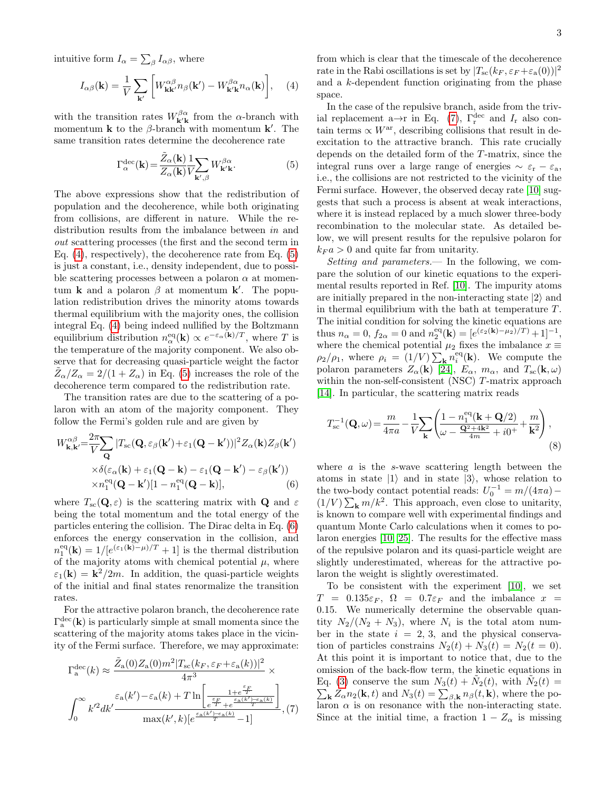intuitive form  $I_{\alpha} = \sum_{\beta} I_{\alpha\beta}$ , where

<span id="page-2-0"></span>
$$
I_{\alpha\beta}(\mathbf{k}) = \frac{1}{V} \sum_{\mathbf{k}'} \left[ W_{\mathbf{k}\mathbf{k}'}^{\alpha\beta} n_{\beta}(\mathbf{k}') - W_{\mathbf{k}'\mathbf{k}}^{\beta\alpha} n_{\alpha}(\mathbf{k}) \right], \quad (4)
$$

with the transition rates  $W^{\beta\alpha}_{\mathbf{k'k}}$  from the  $\alpha$ -branch with momentum **k** to the  $\beta$ -branch with momentum **k**'. The same transition rates determine the decoherence rate

<span id="page-2-1"></span>
$$
\Gamma_{\alpha}^{\text{dec}}(\mathbf{k}) = \frac{\tilde{Z}_{\alpha}(\mathbf{k})}{Z_{\alpha}(\mathbf{k})} \frac{1}{V} \sum_{\mathbf{k}',\beta} W_{\mathbf{k}'\mathbf{k}}^{\beta \alpha}.
$$
 (5)

The above expressions show that the redistribution of population and the decoherence, while both originating from collisions, are different in nature. While the redistribution results from the imbalance between in and out scattering processes (the first and the second term in Eq. [\(4\)](#page-2-0), respectively), the decoherence rate from Eq. [\(5\)](#page-2-1) is just a constant, i.e., density independent, due to possible scattering processes between a polaron  $\alpha$  at momentum **k** and a polaron  $\beta$  at momentum **k'**. The population redistribution drives the minority atoms towards thermal equilibrium with the majority ones, the collision integral Eq. [\(4\)](#page-2-0) being indeed nullified by the Boltzmann equilibrium distribution  $n_{\alpha}^{\text{eq}}(\mathbf{k}) \propto e^{-\varepsilon_{\alpha}(\mathbf{k})/T}$ , where T is the temperature of the majority component. We also observe that for decreasing quasi-particle weight the factor  $\tilde{Z}_{\alpha}/Z_{\alpha} = 2/(1+Z_{\alpha})$  in Eq. [\(5\)](#page-2-1) increases the role of the decoherence term compared to the redistribution rate.

The transition rates are due to the scattering of a polaron with an atom of the majority component. They follow the Fermi's golden rule and are given by

<span id="page-2-2"></span>
$$
W_{\mathbf{k},\mathbf{k}'}^{\alpha\beta} = \frac{2\pi}{V} \sum_{\mathbf{Q}} |T_{\rm sc}(\mathbf{Q}, \varepsilon_{\beta}(\mathbf{k}') + \varepsilon_1(\mathbf{Q} - \mathbf{k}'))|^2 Z_{\alpha}(\mathbf{k}) Z_{\beta}(\mathbf{k}')
$$
  
 
$$
\times \delta(\varepsilon_{\alpha}(\mathbf{k}) + \varepsilon_1(\mathbf{Q} - \mathbf{k}) - \varepsilon_1(\mathbf{Q} - \mathbf{k}') - \varepsilon_{\beta}(\mathbf{k}'))
$$
  
 
$$
\times n_1^{\rm eq}(\mathbf{Q} - \mathbf{k}')[1 - n_1^{\rm eq}(\mathbf{Q} - \mathbf{k})], \tag{6}
$$

where  $T_{\rm sc}(\mathbf{Q}, \varepsilon)$  is the scattering matrix with **Q** and  $\varepsilon$ being the total momentum and the total energy of the particles entering the collision. The Dirac delta in Eq. [\(6\)](#page-2-2) enforces the energy conservation in the collision, and  $n_1^{\text{eq}}(\mathbf{k}) = 1/[e^{(\varepsilon_1(\mathbf{k})-\mu)/T}+1]$  is the thermal distribution of the majority atoms with chemical potential  $\mu$ , where  $\varepsilon_1(\mathbf{k}) = \mathbf{k}^2/2m$ . In addition, the quasi-particle weights of the initial and final states renormalize the transition rates.

For the attractive polaron branch, the decoherence rate  $\Gamma_{\rm a}^{\rm dec}({\bf k})$  is particularly simple at small momenta since the scattering of the majority atoms takes place in the vicinity of the Fermi surface. Therefore, we may approximate:

<span id="page-2-3"></span>
$$
\Gamma_{\rm a}^{\rm dec}(k) \approx \frac{\tilde{Z}_{\rm a}(0)Z_{\rm a}(0)m^2|T_{\rm sc}(k_F,\varepsilon_F+\varepsilon_{\rm a}(k))|^2}{4\pi^3} \times \int_0^\infty k'^2dk' \frac{\varepsilon_{\rm a}(k')-\varepsilon_{\rm a}(k)+T\ln\left[\frac{1+e^{\frac{\varepsilon_F}{T}}}{\varepsilon_F^{\frac{\varepsilon_F}{T}}+e^{\frac{\varepsilon_{\rm a}(k')-\varepsilon_{\rm a}(k)}{T}}}\right]}{\max(k',k)[e^{\frac{\varepsilon_{\rm a}(k')-\varepsilon_{\rm a}(k)}{T}}-1]},(7)
$$

from which is clear that the timescale of the decoherence rate in the Rabi oscillations is set by  $|T_{\rm sc}(k_F, \varepsilon_F + \varepsilon_{\rm a}(0))|^2$ and a k-dependent function originating from the phase space.

In the case of the repulsive branch, aside from the triv-ial replacement a→r in Eq. [\(7\)](#page-2-3),  $\Gamma_{\rm r}^{\rm dec}$  and  $I_{\rm r}$  also contain terms  $\propto W^{\text{ar}}$ , describing collisions that result in deexcitation to the attractive branch. This rate crucially depends on the detailed form of the T-matrix, since the integral runs over a large range of energies  $\sim \varepsilon_r - \varepsilon_a$ , i.e., the collisions are not restricted to the vicinity of the Fermi surface. However, the observed decay rate [\[10\]](#page-4-8) suggests that such a process is absent at weak interactions, where it is instead replaced by a much slower three-body recombination to the molecular state. As detailed below, we will present results for the repulsive polaron for  $k_F a > 0$  and quite far from unitarity.

Setting and parameters.— In the following, we compare the solution of our kinetic equations to the experimental results reported in Ref. [\[10\]](#page-4-8). The impurity atoms are initially prepared in the non-interacting state  $|2\rangle$  and in thermal equilibrium with the bath at temperature  $T$ . The initial condition for solving the kinetic equations are thus  $n_{\alpha} = 0$ ,  $f_{2\alpha} = 0$  and  $n_2^{eq}(\mathbf{k}) = [e^{(\varepsilon_2(\mathbf{k}) - \mu_2)/T)} + 1]^{-1}$ , where the chemical potential  $\mu_2$  fixes the imbalance  $x \equiv$  $\rho_2/\rho_1$ , where  $\rho_i = (1/V) \sum_{\mathbf{k}} n_i^{\text{eq}}(\mathbf{k})$ . We compute the polaron parameters  $Z_{\alpha}(\mathbf{k})$  [\[24\]](#page-4-22),  $E_{\alpha}$ ,  $m_{\alpha}$ , and  $T_{\rm sc}(\mathbf{k}, \omega)$ within the non-self-consistent (NSC) T-matrix approach [\[14\]](#page-4-11). In particular, the scattering matrix reads

$$
T_{\rm sc}^{-1}(\mathbf{Q}, \omega) = \frac{m}{4\pi a} - \frac{1}{V} \sum_{\mathbf{k}} \left( \frac{1 - n_1^{\rm eq}(\mathbf{k} + \mathbf{Q}/2)}{\omega - \frac{\mathbf{Q}^2 + 4\mathbf{k}^2}{4m} + i0^+} + \frac{m}{\mathbf{k}^2} \right),\tag{8}
$$

where  $\alpha$  is the s-wave scattering length between the atoms in state  $|1\rangle$  and in state  $|3\rangle$ , whose relation to the two-body contact potential reads:  $U_0^{-1} = m/(4\pi a)$  –  $(1/V) \sum_{\mathbf{k}} m/k^2$ . This approach, even close to unitarity, is known to compare well with experimental findings and quantum Monte Carlo calculations when it comes to polaron energies [\[10,](#page-4-8) [25\]](#page-4-23). The results for the effective mass of the repulsive polaron and its quasi-particle weight are slightly underestimated, whereas for the attractive polaron the weight is slightly overestimated.

To be consistent with the experiment [\[10\]](#page-4-8), we set  $T = 0.135\varepsilon_F$ ,  $\Omega = 0.7\varepsilon_F$  and the imbalance  $x =$ 0.15. We numerically determine the observable quantity  $N_2/(N_2+N_3)$ , where  $N_i$  is the total atom number in the state  $i = 2, 3$ , and the physical conservation of particles constrains  $N_2(t) + N_3(t) = N_2(t = 0)$ . At this point it is important to notice that, due to the omission of the back-flow term, the kinetic equations in Eq. [\(3\)](#page-1-1) conserve the sum  $N_3(t) + \tilde{N}_2(t)$ , with  $\tilde{N}_2(t) =$  $\sum_{\mathbf{k}} Z_{\alpha} n_2(\mathbf{k}, t)$  and  $N_3(t) = \sum_{\beta, \mathbf{k}} n_{\beta}(t, \mathbf{k})$ , where the polaron  $\alpha$  is on resonance with the non-interacting state. Since at the initial time, a fraction  $1 - Z_{\alpha}$  is missing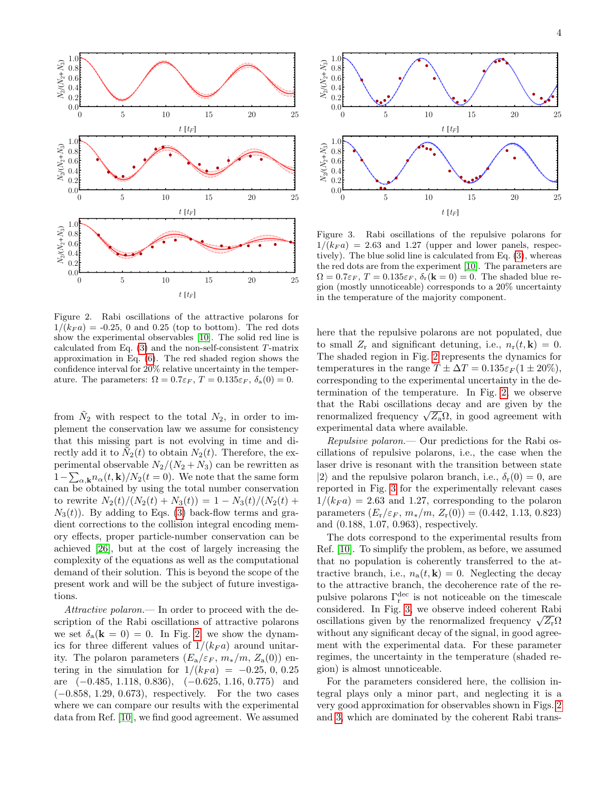

<span id="page-3-0"></span>Figure 2. Rabi oscillations of the attractive polarons for  $1/(k_F a) = -0.25$ , 0 and 0.25 (top to bottom). The red dots show the experimental observables [\[10\]](#page-4-8). The solid red line is calculated from Eq. [\(3\)](#page-1-1) and the non-self-consistent T-matrix approximation in Eq. [\(6\)](#page-2-2). The red shaded region shows the confidence interval for 20% relative uncertainty in the temperature. The parameters:  $\Omega = 0.7\varepsilon_F$ ,  $T = 0.135\varepsilon_F$ ,  $\delta_a(0) = 0$ .

from  $\tilde{N}_2$  with respect to the total  $N_2$ , in order to implement the conservation law we assume for consistency that this missing part is not evolving in time and directly add it to  $\tilde{N}_2(t)$  to obtain  $N_2(t)$ . Therefore, the experimental observable  $N_2/(N_2+N_3)$  can be rewritten as  $1-\sum_{\alpha,\mathbf{k}} n_{\alpha}(t,\mathbf{k})/N_2(t=0)$ . We note that the same form can be obtained by using the total number conservation to rewrite  $N_2(t)/(N_2(t) + N_3(t)) = 1 - N_3(t)/(N_2(t) +$  $N_3(t)$ ). By adding to Eqs. [\(3\)](#page-1-1) back-flow terms and gradient corrections to the collision integral encoding memory effects, proper particle-number conservation can be achieved [\[26\]](#page-4-24), but at the cost of largely increasing the complexity of the equations as well as the computational demand of their solution. This is beyond the scope of the present work and will be the subject of future investigations.

Attractive polaron.— In order to proceed with the description of the Rabi oscillations of attractive polarons we set  $\delta_{a}({\bf k}=0)=0$ . In Fig. [2,](#page-3-0) we show the dynamics for three different values of  $1/(k_F a)$  around unitarity. The polaron parameters  $(E_a/\varepsilon_F, m_*/m, Z_a(0))$  entering in the simulation for  $1/(k_F a) = -0.25, 0, 0.25$ are (−0.485, 1.118, 0.836), (−0.625, 1.16, 0.775) and (−0.858, 1.29, 0.673), respectively. For the two cases where we can compare our results with the experimental data from Ref. [\[10\]](#page-4-8), we find good agreement. We assumed



<span id="page-3-1"></span>Figure 3. Rabi oscillations of the repulsive polarons for  $1/(k_F a) = 2.63$  and 1.27 (upper and lower panels, respectively). The blue solid line is calculated from Eq. [\(3\)](#page-1-1), whereas the red dots are from the experiment [\[10\]](#page-4-8). The parameters are  $\Omega = 0.7\varepsilon_F$ ,  $T = 0.135\varepsilon_F$ ,  $\delta_r(\mathbf{k} = 0) = 0$ . The shaded blue region (mostly unnoticeable) corresponds to a 20% uncertainty in the temperature of the majority component.

here that the repulsive polarons are not populated, due to small  $Z_r$  and significant detuning, i.e.,  $n_r(t, \mathbf{k}) = 0$ . The shaded region in Fig. [2](#page-3-0) represents the dynamics for temperatures in the range  $T \pm \Delta T = 0.135 \varepsilon_F (1 \pm 20\%),$ corresponding to the experimental uncertainty in the determination of the temperature. In Fig. [2,](#page-3-0) we observe that the Rabi oscillations decay and are given by the that the Kabi oscillations decay and are given by the renormalized frequency  $\sqrt{Z_{\rm a}}\Omega$ , in good agreement with experimental data where available.

Repulsive polaron.— Our predictions for the Rabi oscillations of repulsive polarons, i.e., the case when the laser drive is resonant with the transition between state  $|2\rangle$  and the repulsive polaron branch, i.e.,  $\delta_r(0) = 0$ , are reported in Fig. [3](#page-3-1) for the experimentally relevant cases  $1/(k_F a) = 2.63$  and 1.27, corresponding to the polaron parameters  $(E_r/\varepsilon_F, m_*/m, Z_r(0)) = (0.442, 1.13, 0.823)$ and (0.188, 1.07, 0.963), respectively.

The dots correspond to the experimental results from Ref. [\[10\]](#page-4-8). To simplify the problem, as before, we assumed that no population is coherently transferred to the attractive branch, i.e.,  $n_a(t, \mathbf{k}) = 0$ . Neglecting the decay to the attractive branch, the decoherence rate of the repulsive polarons  $\Gamma_{\rm r}^{\rm dec}$  is not noticeable on the timescale considered. In Fig. [3,](#page-3-1) we observe indeed coherent Rabi considered. In Fig. 5, we observe indeed concrent Kabi<br>oscillations given by the renormalized frequency  $\sqrt{Z_{\rm r}}\Omega$ without any significant decay of the signal, in good agreement with the experimental data. For these parameter regimes, the uncertainty in the temperature (shaded region) is almost unnoticeable.

For the parameters considered here, the collision integral plays only a minor part, and neglecting it is a very good approximation for observables shown in Figs. [2](#page-3-0) and [3,](#page-3-1) which are dominated by the coherent Rabi trans-